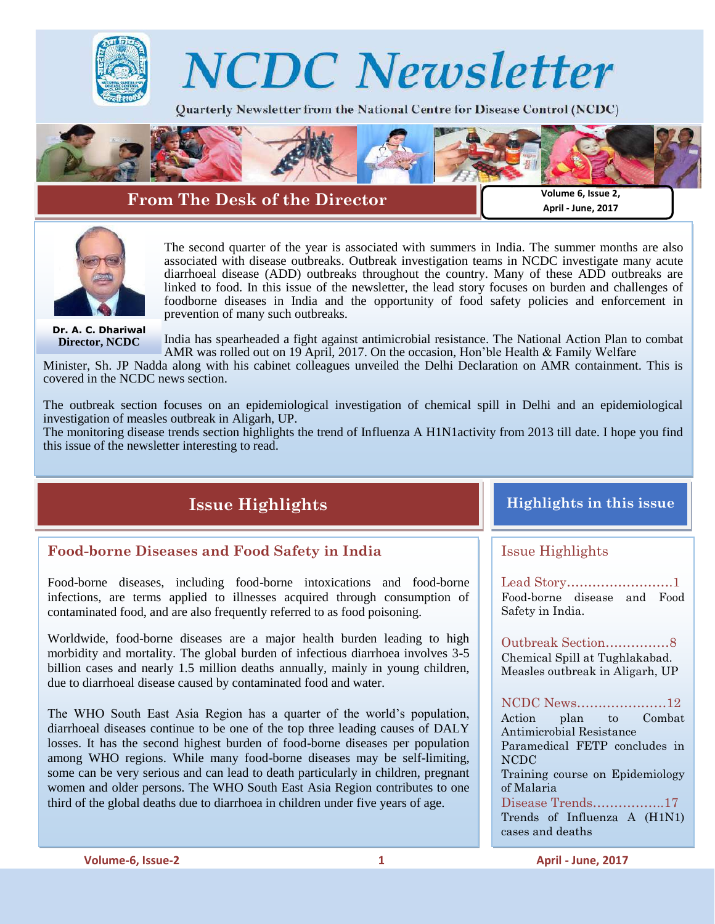



## **From The Desk of the Director**

**Volume 6, Issue 2, April - June, 2017**



The second quarter of the year is associated with summers in India. The summer months are also associated with disease outbreaks. Outbreak investigation teams in NCDC investigate many acute diarrhoeal disease (ADD) outbreaks throughout the country. Many of these ADD outbreaks are linked to food. In this issue of the newsletter, the lead story focuses on burden and challenges of foodborne diseases in India and the opportunity of food safety policies and enforcement in prevention of many such outbreaks.

**Dr. A. C. Dhariwal Director, NCDC**

India has spearheaded a fight against antimicrobial resistance. The National Action Plan to combat AMR was rolled out on 19 April, 2017. On the occasion, Hon"ble Health & Family Welfare

Minister, Sh. JP Nadda along with his cabinet colleagues unveiled the Delhi Declaration on AMR containment. This is covered in the NCDC news section.

The outbreak section focuses on an epidemiological investigation of chemical spill in Delhi and an epidemiological investigation of measles outbreak in Aligarh, UP.

The monitoring disease trends section highlights the trend of Influenza A H1N1activity from 2013 till date. I hope you find this issue of the newsletter interesting to read.

# **Issue Highlights**

## **Food-borne Diseases and Food Safety in India**

Food-borne diseases, including food-borne intoxications and food-borne infections, are terms applied to illnesses acquired through consumption of contaminated food, and are also frequently referred to as food poisoning.

Worldwide, food-borne diseases are a major health burden leading to high morbidity and mortality. The global burden of infectious diarrhoea involves 3-5 billion cases and nearly 1.5 million deaths annually, mainly in young children, due to diarrhoeal disease caused by contaminated food and water.

The WHO South East Asia Region has a quarter of the world"s population, diarrhoeal diseases continue to be one of the top three leading causes of DALY losses. It has the second highest burden of food-borne diseases per population among WHO regions. While many food-borne diseases may be self-limiting, some can be very serious and can lead to death particularly in children, pregnant women and older persons. The WHO South East Asia Region contributes to one third of the global deaths due to diarrhoea in children under five years of age.

## **Highlights in this issue**

## Issue Highlights

Lead Story…………………….1 Food-borne disease and Food Safety in India.

Outbreak Section……………8 Chemical Spill at Tughlakabad. Measles outbreak in Aligarh, UP

NCDC News…………………12 Action plan to Combat Antimicrobial Resistance Paramedical FETP concludes in NCDC Training course on Epidemiology of Malaria

Disease Trends……………..17 Trends of Influenza A (H1N1) cases and deaths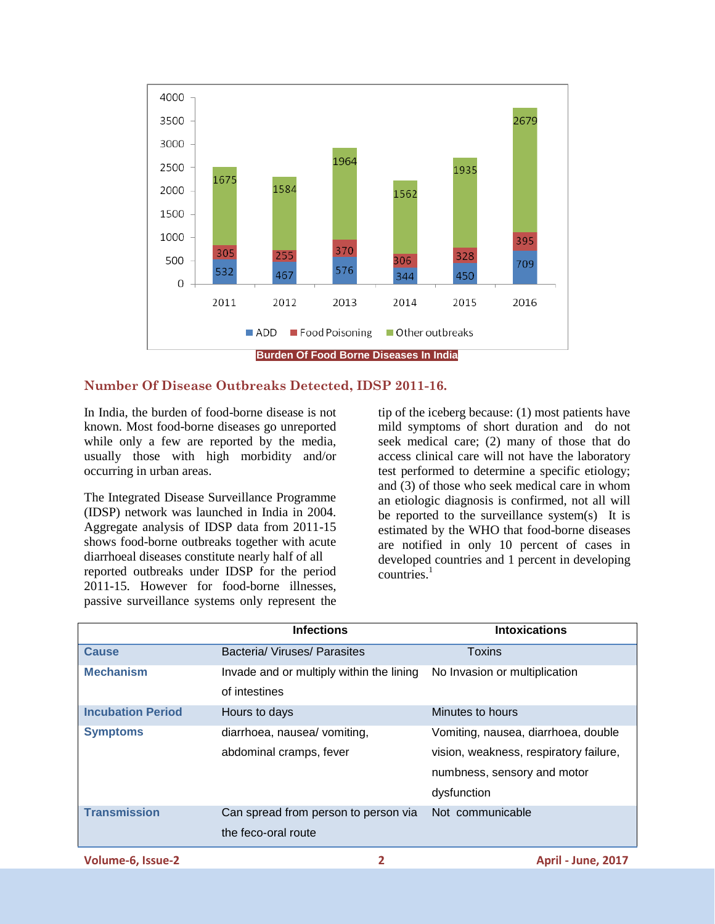

#### **Number Of Disease Outbreaks Detected, IDSP 2011-16.**

In India, the burden of food-borne disease is not known. Most food-borne diseases go unreported while only a few are reported by the media, usually those with high morbidity and/or occurring in urban areas.

The Integrated Disease Surveillance Programme (IDSP) network was launched in India in 2004. Aggregate analysis of IDSP data from 2011-15 shows food-borne outbreaks together with acute diarrhoeal diseases constitute nearly half of all reported outbreaks under IDSP for the period 2011-15. However for food-borne illnesses, passive surveillance systems only represent the

tip of the iceberg because: (1) most patients have mild symptoms of short duration and do not seek medical care; (2) many of those that do access clinical care will not have the laboratory test performed to determine a specific etiology; and (3) of those who seek medical care in whom an etiologic diagnosis is confirmed, not all will be reported to the surveillance system(s) It is estimated by the WHO that food-borne diseases are notified in only 10 percent of cases in developed countries and 1 percent in developing countries. $1$ 

|                          | <b>Infections</b>                                           | <b>Intoxications</b>                                                                                                        |  |  |  |
|--------------------------|-------------------------------------------------------------|-----------------------------------------------------------------------------------------------------------------------------|--|--|--|
| <b>Cause</b>             | Bacteria/ Viruses/ Parasites                                | Toxins                                                                                                                      |  |  |  |
| <b>Mechanism</b>         | Invade and or multiply within the lining<br>of intestines   | No Invasion or multiplication                                                                                               |  |  |  |
| <b>Incubation Period</b> | Hours to days                                               | Minutes to hours                                                                                                            |  |  |  |
| <b>Symptoms</b>          | diarrhoea, nausea/ vomiting,<br>abdominal cramps, fever     | Vomiting, nausea, diarrhoea, double<br>vision, weakness, respiratory failure,<br>numbness, sensory and motor<br>dysfunction |  |  |  |
| <b>Transmission</b>      | Can spread from person to person via<br>the feco-oral route | Not communicable                                                                                                            |  |  |  |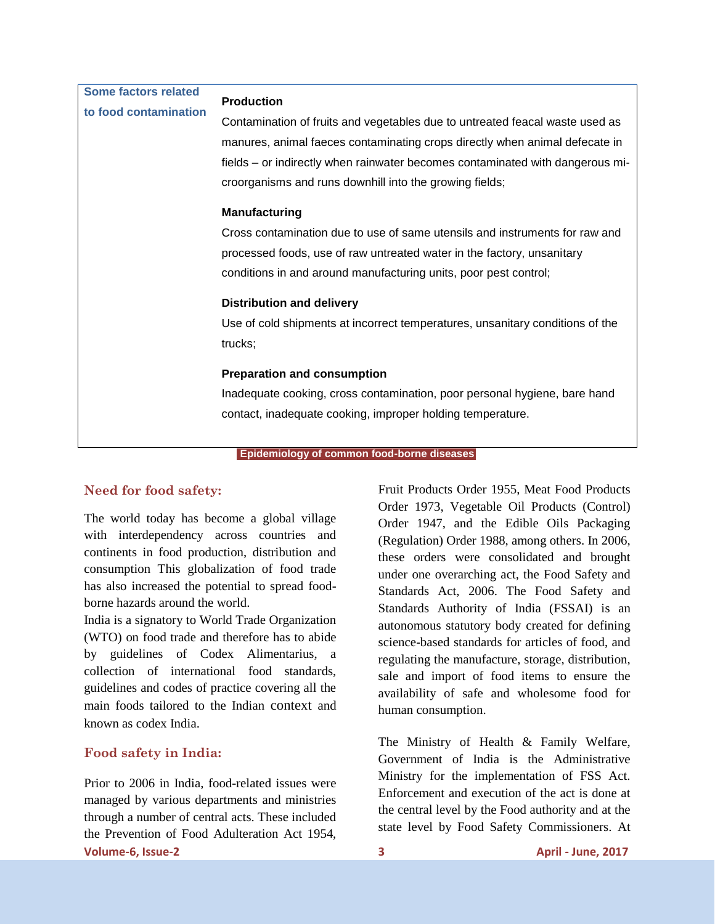| Some factors related  |                                                                               |  |  |  |  |
|-----------------------|-------------------------------------------------------------------------------|--|--|--|--|
| to food contamination | <b>Production</b>                                                             |  |  |  |  |
|                       | Contamination of fruits and vegetables due to untreated feacal waste used as  |  |  |  |  |
|                       | manures, animal faeces contaminating crops directly when animal defecate in   |  |  |  |  |
|                       | fields – or indirectly when rainwater becomes contaminated with dangerous mi- |  |  |  |  |
|                       | croorganisms and runs downhill into the growing fields;                       |  |  |  |  |
|                       | <b>Manufacturing</b>                                                          |  |  |  |  |
|                       | Cross contamination due to use of same utensils and instruments for raw and   |  |  |  |  |
|                       | processed foods, use of raw untreated water in the factory, unsanitary        |  |  |  |  |
|                       | conditions in and around manufacturing units, poor pest control;              |  |  |  |  |
|                       | <b>Distribution and delivery</b>                                              |  |  |  |  |
|                       | Use of cold shipments at incorrect temperatures, unsanitary conditions of the |  |  |  |  |
|                       | trucks;                                                                       |  |  |  |  |
|                       | <b>Preparation and consumption</b>                                            |  |  |  |  |
|                       | Inadequate cooking, cross contamination, poor personal hygiene, bare hand     |  |  |  |  |
|                       | contact, inadequate cooking, improper holding temperature.                    |  |  |  |  |
|                       | Epidemiology of common food-borne diseases                                    |  |  |  |  |
|                       |                                                                               |  |  |  |  |

### **Need for food safety:**

The world today has become a global village with interdependency across countries and continents in food production, distribution and consumption This globalization of food trade has also increased the potential to spread foodborne hazards around the world.

India is a signatory to World Trade Organization (WTO) on food trade and therefore has to abide by guidelines of Codex Alimentarius, a collection of international food standards, guidelines and codes of practice covering all the main foods tailored to the Indian context and known as codex India.

### **Food safety in India:**

**Volume-6, Issue-2 3 April - June, 2017** Prior to 2006 in India, food-related issues were managed by various departments and ministries through a number of central acts. These included the Prevention of Food Adulteration Act 1954,

Fruit Products Order 1955, Meat Food Products Order 1973, Vegetable Oil Products (Control) Order 1947, and the Edible Oils Packaging (Regulation) Order 1988, among others. In 2006, these orders were consolidated and brought under one overarching act, the Food Safety and Standards Act, 2006. The Food Safety and Standards Authority of India (FSSAI) is an autonomous statutory body created for defining science-based standards for articles of food, and regulating the manufacture, storage, distribution, sale and import of food items to ensure the availability of safe and wholesome food for human consumption.

The Ministry of Health & Family Welfare, Government of India is the Administrative Ministry for the implementation of FSS Act. Enforcement and execution of the act is done at the central level by the Food authority and at the state level by Food Safety Commissioners. At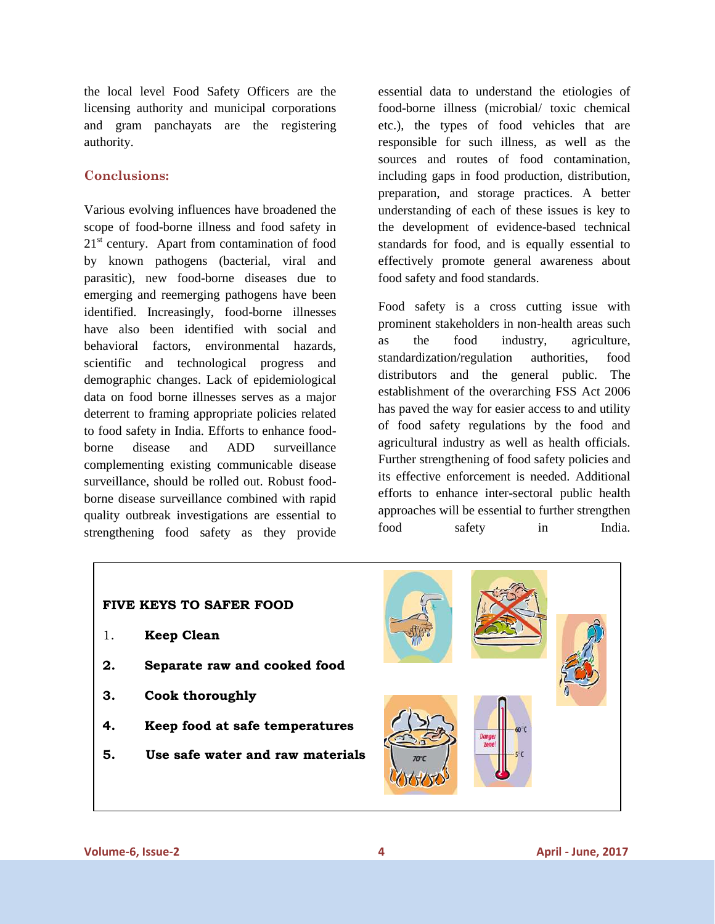the local level Food Safety Officers are the licensing authority and municipal corporations and gram panchayats are the registering authority.

### **Conclusions:**

Various evolving influences have broadened the scope of food-borne illness and food safety in 21<sup>st</sup> century. Apart from contamination of food by known pathogens (bacterial, viral and parasitic), new food-borne diseases due to emerging and reemerging pathogens have been identified. Increasingly, food-borne illnesses have also been identified with social and behavioral factors, environmental hazards, scientific and technological progress and demographic changes. Lack of epidemiological data on food borne illnesses serves as a major deterrent to framing appropriate policies related to food safety in India. Efforts to enhance foodborne disease and ADD surveillance complementing existing communicable disease surveillance, should be rolled out. Robust foodborne disease surveillance combined with rapid quality outbreak investigations are essential to strengthening food safety as they provide

essential data to understand the etiologies of food-borne illness (microbial/ toxic chemical etc.), the types of food vehicles that are responsible for such illness, as well as the sources and routes of food contamination, including gaps in food production, distribution, preparation, and storage practices. A better understanding of each of these issues is key to the development of evidence-based technical standards for food, and is equally essential to effectively promote general awareness about food safety and food standards.

Food safety is a cross cutting issue with prominent stakeholders in non-health areas such as the food industry, agriculture, standardization/regulation authorities, food distributors and the general public. The establishment of the overarching FSS Act 2006 has paved the way for easier access to and utility of food safety regulations by the food and agricultural industry as well as health officials. Further strengthening of food safety policies and its effective enforcement is needed. Additional efforts to enhance inter-sectoral public health approaches will be essential to further strengthen food safety in India.

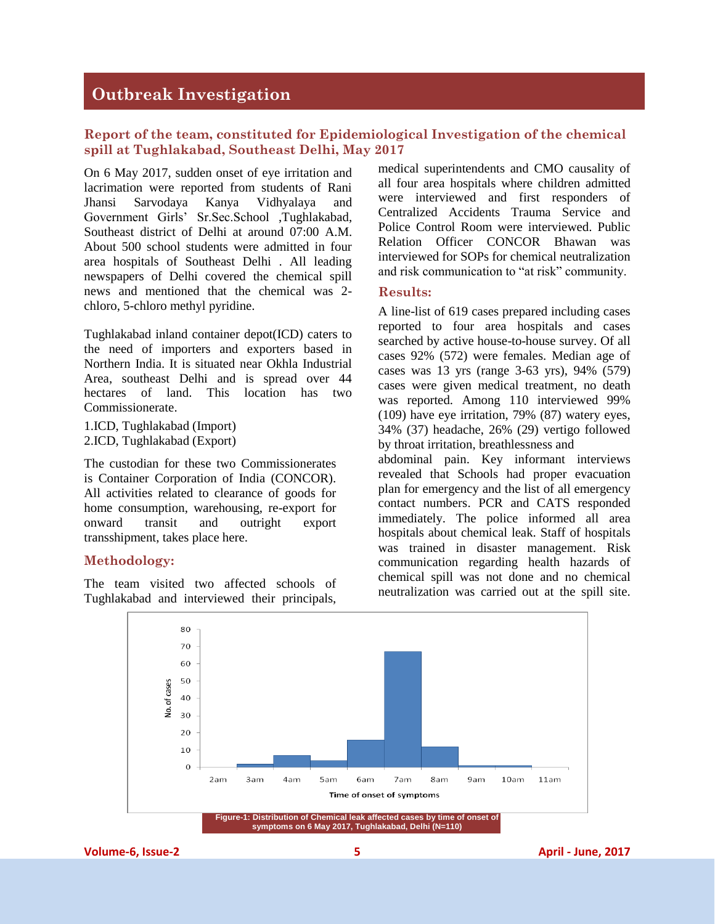## **Outbreak Investigation**

#### **Report of the team, constituted for Epidemiological Investigation of the chemical spill at Tughlakabad, Southeast Delhi, May 2017**

On 6 May 2017, sudden onset of eye irritation and lacrimation were reported from students of Rani Jhansi Sarvodaya Kanya Vidhyalaya and Government Girls" Sr.Sec.School ,Tughlakabad, Southeast district of Delhi at around 07:00 A.M. About 500 school students were admitted in four area hospitals of Southeast Delhi . All leading newspapers of Delhi covered the chemical spill news and mentioned that the chemical was 2 chloro, 5-chloro methyl pyridine.

Tughlakabad inland container depot(ICD) caters to the need of importers and exporters based in Northern India. It is situated near Okhla Industrial Area, southeast Delhi and is spread over 44 hectares of land. This location has two Commissionerate.

1.ICD, Tughlakabad (Import) 2.ICD, Tughlakabad (Export)

The custodian for these two Commissionerates is Container Corporation of India (CONCOR). All activities related to clearance of goods for home consumption, warehousing, re-export for onward transit and outright export transshipment, takes place here.

#### **Methodology:**

The team visited two affected schools of Tughlakabad and interviewed their principals, medical superintendents and CMO causality of all four area hospitals where children admitted were interviewed and first responders of Centralized Accidents Trauma Service and Police Control Room were interviewed. Public Relation Officer CONCOR Bhawan was interviewed for SOPs for chemical neutralization and risk communication to "at risk" community.

#### **Results:**

A line-list of 619 cases prepared including cases reported to four area hospitals and cases searched by active house-to-house survey. Of all cases 92% (572) were females. Median age of cases was 13 yrs (range 3-63 yrs), 94% (579) cases were given medical treatment, no death was reported. Among 110 interviewed 99% (109) have eye irritation, 79% (87) watery eyes, 34% (37) headache, 26% (29) vertigo followed by throat irritation, breathlessness and

abdominal pain. Key informant interviews revealed that Schools had proper evacuation plan for emergency and the list of all emergency contact numbers. PCR and CATS responded immediately. The police informed all area hospitals about chemical leak. Staff of hospitals was trained in disaster management. Risk communication regarding health hazards of chemical spill was not done and no chemical neutralization was carried out at the spill site.

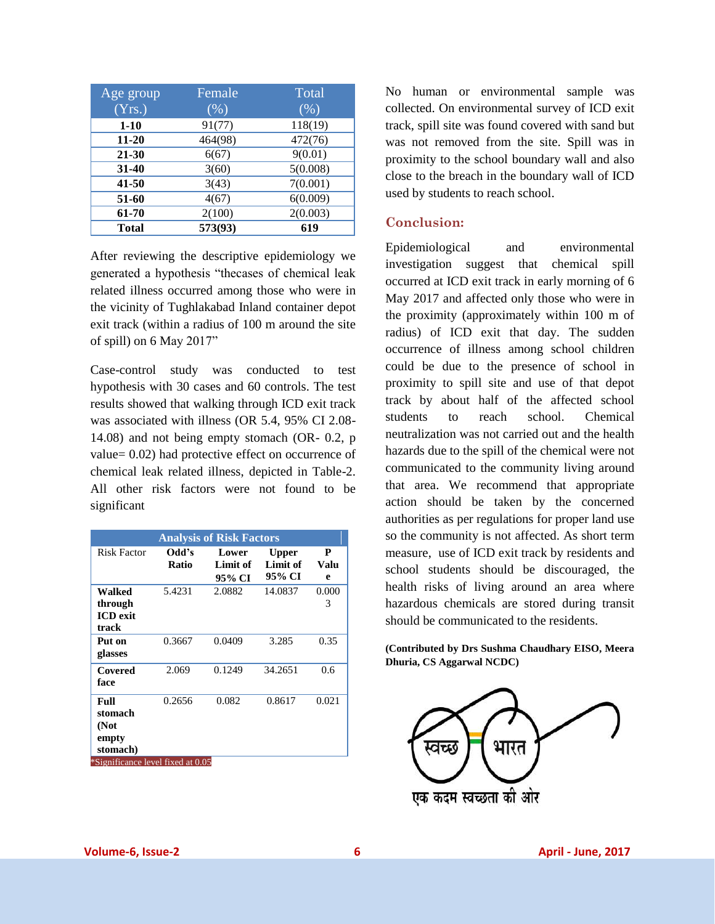| Age group    | Female  | Total    |
|--------------|---------|----------|
| (Yrs.)       | (%)     | (% )     |
| $1-10$       | 91(77)  | 118(19)  |
| $11 - 20$    | 464(98) | 472(76)  |
| 21-30        | 6(67)   | 9(0.01)  |
| $31 - 40$    | 3(60)   | 5(0.008) |
| 41-50        | 3(43)   | 7(0.001) |
| 51-60        | 4(67)   | 6(0.009) |
| 61-70        | 2(100)  | 2(0.003) |
| <b>Total</b> | 573(93) | 619      |

After reviewing the descriptive epidemiology we generated a hypothesis "thecases of chemical leak related illness occurred among those who were in the vicinity of Tughlakabad Inland container depot exit track (within a radius of 100 m around the site of spill) on 6 May 2017"

Case-control study was conducted to test hypothesis with 30 cases and 60 controls. The test results showed that walking through ICD exit track was associated with illness (OR 5.4, 95% CI 2.08- 14.08) and not being empty stomach (OR- 0.2, p value= 0.02) had protective effect on occurrence of chemical leak related illness, depicted in Table-2. All other risk factors were not found to be significant

| <b>Analysis of Risk Factors</b>               |                       |                             |                                    |                |  |  |  |
|-----------------------------------------------|-----------------------|-----------------------------|------------------------------------|----------------|--|--|--|
| <b>Risk Factor</b>                            | Odd's<br><b>Ratio</b> | Lower<br>Limit of<br>95% CI | <b>Upper</b><br>Limit of<br>95% CI | P<br>Valu<br>e |  |  |  |
| Walked<br>through<br><b>ICD</b> exit<br>track | 5.4231                | 2.0882                      | 14.0837                            | 0.000<br>3     |  |  |  |
| Put on<br>glasses                             | 0.3667                | 0.0409                      | 3.285                              | 0.35           |  |  |  |
| Covered<br>face                               | 2.069                 | 0.1249                      | 34.2651                            | 0.6            |  |  |  |
| Full<br>stomach<br>(Not<br>empty<br>stomach)  | 0.2656                | 0.082                       | 0.8617                             | 0.021          |  |  |  |
| *Significance level fixed at 0.05             |                       |                             |                                    |                |  |  |  |

No human or environmental sample was collected. On environmental survey of ICD exit track, spill site was found covered with sand but was not removed from the site. Spill was in proximity to the school boundary wall and also close to the breach in the boundary wall of ICD used by students to reach school.

#### **Conclusion:**

Epidemiological and environmental investigation suggest that chemical spill occurred at ICD exit track in early morning of 6 May 2017 and affected only those who were in the proximity (approximately within 100 m of radius) of ICD exit that day. The sudden occurrence of illness among school children could be due to the presence of school in proximity to spill site and use of that depot track by about half of the affected school students to reach school. Chemical neutralization was not carried out and the health hazards due to the spill of the chemical were not communicated to the community living around that area. We recommend that appropriate action should be taken by the concerned authorities as per regulations for proper land use so the community is not affected. As short term measure, use of ICD exit track by residents and school students should be discouraged, the health risks of living around an area where hazardous chemicals are stored during transit should be communicated to the residents.

**(Contributed by Drs Sushma Chaudhary EISO, Meera Dhuria, CS Aggarwal NCDC)**

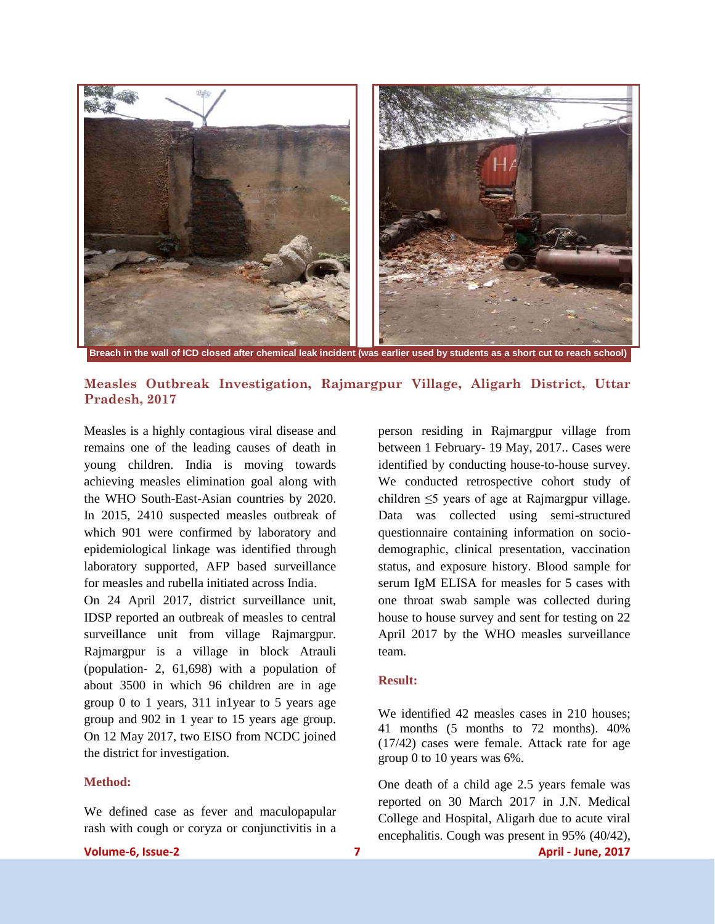

 **Breach in the wall of ICD closed after chemical leak incident (was earlier used by students as a short cut to reach school)**

#### **Measles Outbreak Investigation, Rajmargpur Village, Aligarh District, Uttar Pradesh, 2017**

Measles is a highly contagious viral disease and remains one of the leading causes of death in young children. India is moving towards achieving measles elimination goal along with the WHO South-East-Asian countries by 2020. In 2015, 2410 suspected measles outbreak of which 901 were confirmed by laboratory and epidemiological linkage was identified through laboratory supported, AFP based surveillance for measles and rubella initiated across India.

On 24 April 2017, district surveillance unit, IDSP reported an outbreak of measles to central surveillance unit from village Rajmargpur. Rajmargpur is a village in block Atrauli (population- 2, 61,698) with a population of about 3500 in which 96 children are in age group 0 to 1 years, 311 in1year to 5 years age group and 902 in 1 year to 15 years age group. On 12 May 2017, two EISO from NCDC joined the district for investigation.

#### **Method:**

We defined case as fever and maculopapular rash with cough or coryza or conjunctivitis in a

person residing in Rajmargpur village from between 1 February- 19 May, 2017.. Cases were identified by conducting house-to-house survey. We conducted retrospective cohort study of children ≤5 years of age at Rajmargpur village. Data was collected using semi-structured questionnaire containing information on sociodemographic, clinical presentation, vaccination status, and exposure history. Blood sample for serum IgM ELISA for measles for 5 cases with one throat swab sample was collected during house to house survey and sent for testing on 22 April 2017 by the WHO measles surveillance team.

#### **Result:**

We identified 42 measles cases in 210 houses; 41 months (5 months to 72 months). 40% (17/42) cases were female. Attack rate for age group 0 to 10 years was 6%.

One death of a child age 2.5 years female was reported on 30 March 2017 in J.N. Medical College and Hospital, Aligarh due to acute viral encephalitis. Cough was present in 95% (40/42),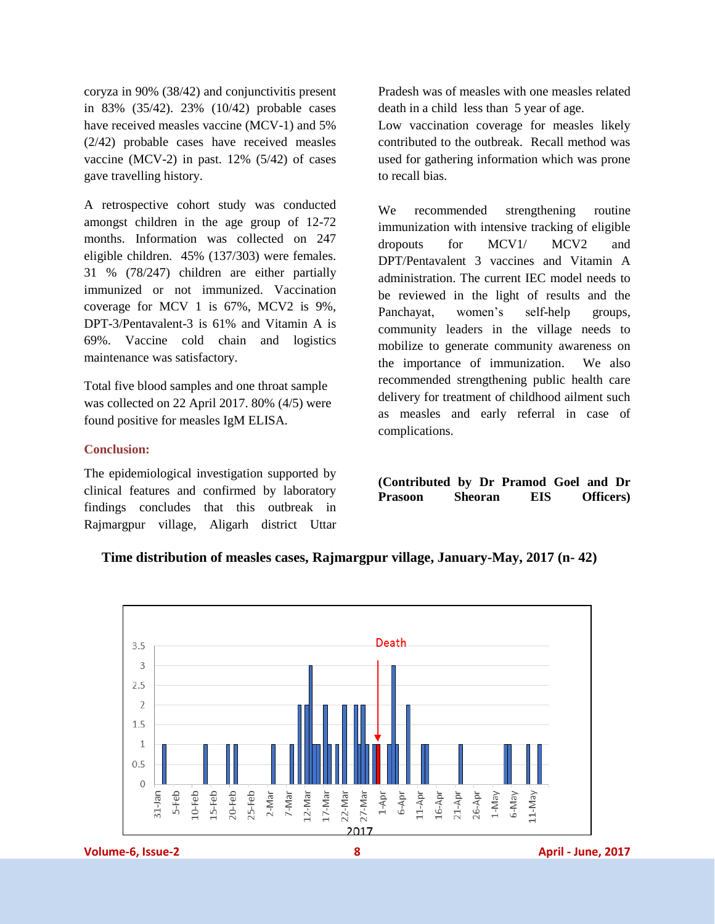coryza in 90% (38/42) and conjunctivitis present in 83% (35/42). 23% (10/42) probable cases have received measles vaccine (MCV-1) and 5% (2/42) probable cases have received measles vaccine (MCV-2) in past. 12% (5/42) of cases gave travelling history.

A retrospective cohort study was conducted amongst children in the age group of 12-72 months. Information was collected on 247 eligible children. 45% (137/303) were females. 31 % (78/247) children are either partially immunized or not immunized. Vaccination coverage for MCV 1 is 67%, MCV2 is 9%, DPT-3/Pentavalent-3 is 61% and Vitamin A is 69%. Vaccine cold chain and logistics maintenance was satisfactory.

Total five blood samples and one throat sample was collected on 22 April 2017. 80% (4/5) were found positive for measles IgM ELISA.

#### **Conclusion:**

The epidemiological investigation supported by clinical features and confirmed by laboratory findings concludes that this outbreak in Rajmargpur village, Aligarh district Uttar Pradesh was of measles with one measles related death in a child less than 5 year of age.

Low vaccination coverage for measles likely contributed to the outbreak. Recall method was used for gathering information which was prone to recall bias.

We recommended strengthening routine immunization with intensive tracking of eligible dropouts for MCV1/ MCV2 and DPT/Pentavalent 3 vaccines and Vitamin A administration. The current IEC model needs to be reviewed in the light of results and the Panchayat, women"s self-help groups, community leaders in the village needs to mobilize to generate community awareness on the importance of immunization. We also recommended strengthening public health care delivery for treatment of childhood ailment such as measles and early referral in case of complications.

**(Contributed by Dr Pramod Goel and Dr Prasoon Sheoran EIS Officers)**

#### **Time distribution of measles cases, Rajmargpur village, January-May, 2017 (n- 42)**

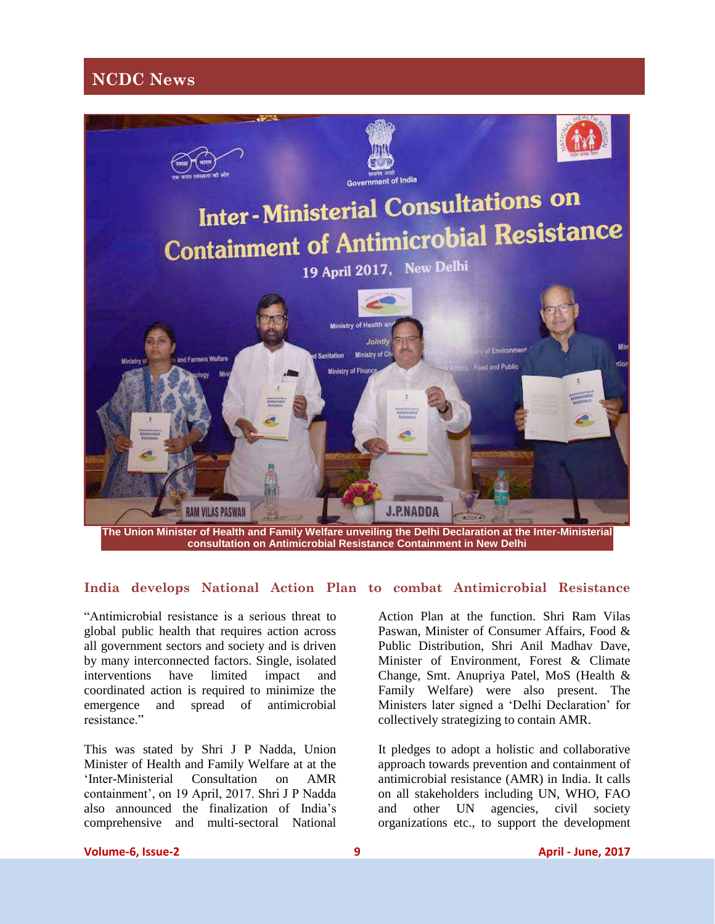## **NCDC News**



**The Union Minister of Health and Family Welfare unveiling the Delhi Declaration at the Inter-Ministerial consultation on Antimicrobial Resistance Containment in New Delhi**

#### **India develops National Action Plan to combat Antimicrobial Resistance**

"Antimicrobial resistance is a serious threat to global public health that requires action across all government sectors and society and is driven by many interconnected factors. Single, isolated interventions have limited impact and coordinated action is required to minimize the emergence and spread of antimicrobial resistance."

This was stated by Shri J P Nadda, Union Minister of Health and Family Welfare at at the "Inter-Ministerial Consultation on AMR containment", on 19 April, 2017. Shri J P Nadda also announced the finalization of India"s comprehensive and multi-sectoral National Action Plan at the function. Shri Ram Vilas Paswan, Minister of Consumer Affairs, Food & Public Distribution, Shri Anil Madhav Dave, Minister of Environment, Forest & Climate Change, Smt. Anupriya Patel, MoS (Health & Family Welfare) were also present. The Ministers later signed a "Delhi Declaration" for collectively strategizing to contain AMR.

It pledges to adopt a holistic and collaborative approach towards prevention and containment of antimicrobial resistance (AMR) in India. It calls on all stakeholders including UN, WHO, FAO and other UN agencies, civil society organizations etc., to support the development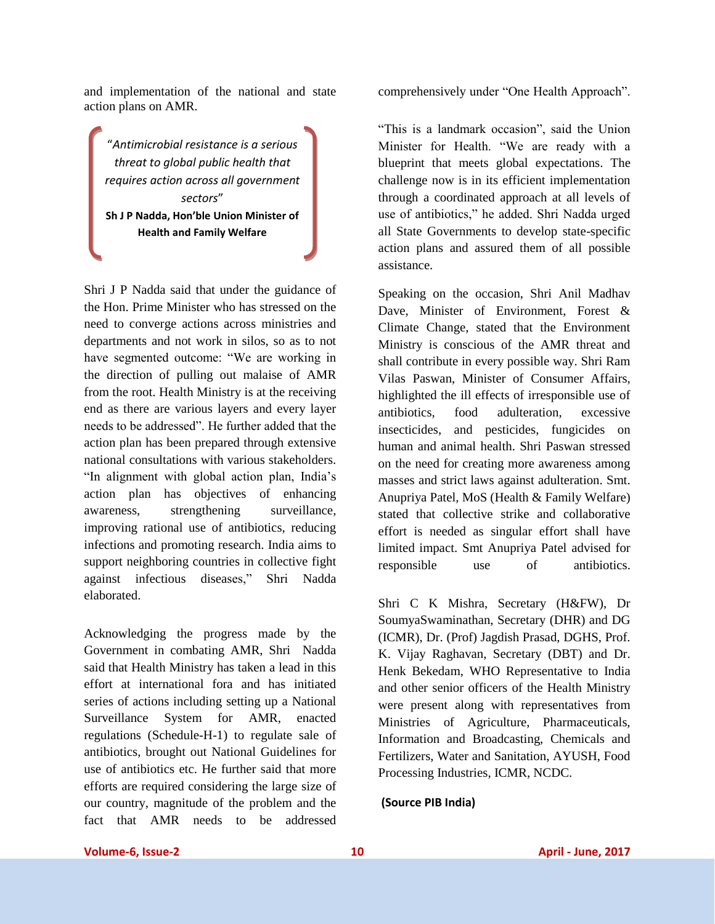and implementation of the national and state action plans on AMR.

"*Antimicrobial resistance is a serious threat to global public health that requires action across all government sectors*" **Sh J P Nadda, Hon'ble Union Minister of Health and Family Welfare**

Shri J P Nadda said that under the guidance of the Hon. Prime Minister who has stressed on the need to converge actions across ministries and departments and not work in silos, so as to not have segmented outcome: "We are working in the direction of pulling out malaise of AMR from the root. Health Ministry is at the receiving end as there are various layers and every layer needs to be addressed". He further added that the action plan has been prepared through extensive national consultations with various stakeholders. "In alignment with global action plan, India"s action plan has objectives of enhancing awareness, strengthening surveillance, improving rational use of antibiotics, reducing infections and promoting research. India aims to support neighboring countries in collective fight against infectious diseases," Shri Nadda elaborated.

Acknowledging the progress made by the Government in combating AMR, Shri Nadda said that Health Ministry has taken a lead in this effort at international fora and has initiated series of actions including setting up a National Surveillance System for AMR, enacted regulations (Schedule-H-1) to regulate sale of antibiotics, brought out National Guidelines for use of antibiotics etc. He further said that more efforts are required considering the large size of our country, magnitude of the problem and the fact that AMR needs to be addressed

comprehensively under "One Health Approach".

"This is a landmark occasion", said the Union Minister for Health. "We are ready with a blueprint that meets global expectations. The challenge now is in its efficient implementation through a coordinated approach at all levels of use of antibiotics," he added. Shri Nadda urged all State Governments to develop state-specific action plans and assured them of all possible assistance.

Speaking on the occasion, Shri Anil Madhav Dave, Minister of Environment, Forest & Climate Change, stated that the Environment Ministry is conscious of the AMR threat and shall contribute in every possible way. Shri Ram Vilas Paswan, Minister of Consumer Affairs, highlighted the ill effects of irresponsible use of antibiotics, food adulteration, excessive insecticides, and pesticides, fungicides on human and animal health. Shri Paswan stressed on the need for creating more awareness among masses and strict laws against adulteration. Smt. Anupriya Patel, MoS (Health & Family Welfare) stated that collective strike and collaborative effort is needed as singular effort shall have limited impact. Smt Anupriya Patel advised for responsible use of antibiotics.

Shri C K Mishra, Secretary (H&FW), Dr SoumyaSwaminathan, Secretary (DHR) and DG (ICMR), Dr. (Prof) Jagdish Prasad, DGHS, Prof. K. Vijay Raghavan, Secretary (DBT) and Dr. Henk Bekedam, WHO Representative to India and other senior officers of the Health Ministry were present along with representatives from Ministries of Agriculture, Pharmaceuticals, Information and Broadcasting, Chemicals and Fertilizers, Water and Sanitation, AYUSH, Food Processing Industries, ICMR, NCDC.

#### **(Source PIB India)**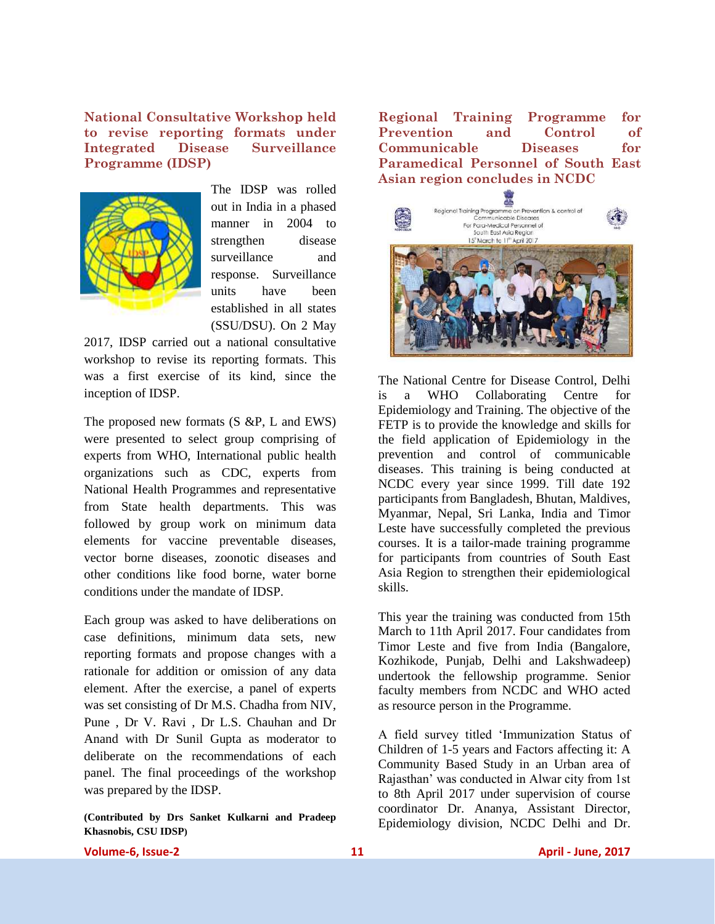**National Consultative Workshop held to revise reporting formats under Integrated Disease Surveillance Programme (IDSP)**



The IDSP was rolled out in India in a phased manner in 2004 to strengthen disease surveillance and response. Surveillance units have been established in all states (SSU/DSU). On 2 May

2017, IDSP carried out a national consultative workshop to revise its reporting formats. This was a first exercise of its kind, since the inception of IDSP.

The proposed new formats (S &P, L and EWS) were presented to select group comprising of experts from WHO, International public health organizations such as CDC, experts from National Health Programmes and representative from State health departments. This was followed by group work on minimum data elements for vaccine preventable diseases, vector borne diseases, zoonotic diseases and other conditions like food borne, water borne conditions under the mandate of IDSP.

Each group was asked to have deliberations on case definitions, minimum data sets, new reporting formats and propose changes with a rationale for addition or omission of any data element. After the exercise, a panel of experts was set consisting of Dr M.S. Chadha from NIV, Pune , Dr V. Ravi , Dr L.S. Chauhan and Dr Anand with Dr Sunil Gupta as moderator to deliberate on the recommendations of each panel. The final proceedings of the workshop was prepared by the IDSP.

**(Contributed by Drs Sanket Kulkarni and Pradeep Khasnobis, CSU IDSP)**

**Regional Training Programme for Prevention and Control of Communicable Diseases for Paramedical Personnel of South East Asian region concludes in NCDC** 



The National Centre for Disease Control, Delhi is a WHO Collaborating Centre for Epidemiology and Training. The objective of the FETP is to provide the knowledge and skills for the field application of Epidemiology in the prevention and control of communicable diseases. This training is being conducted at NCDC every year since 1999. Till date 192 participants from Bangladesh, Bhutan, Maldives, Myanmar, Nepal, Sri Lanka, India and Timor Leste have successfully completed the previous courses. It is a tailor-made training programme for participants from countries of South East Asia Region to strengthen their epidemiological skills.

This year the training was conducted from 15th March to 11th April 2017. Four candidates from Timor Leste and five from India (Bangalore, Kozhikode, Punjab, Delhi and Lakshwadeep) undertook the fellowship programme. Senior faculty members from NCDC and WHO acted as resource person in the Programme.

A field survey titled "Immunization Status of Children of 1-5 years and Factors affecting it: A Community Based Study in an Urban area of Rajasthan" was conducted in Alwar city from 1st to 8th April 2017 under supervision of course coordinator Dr. Ananya, Assistant Director, Epidemiology division, NCDC Delhi and Dr.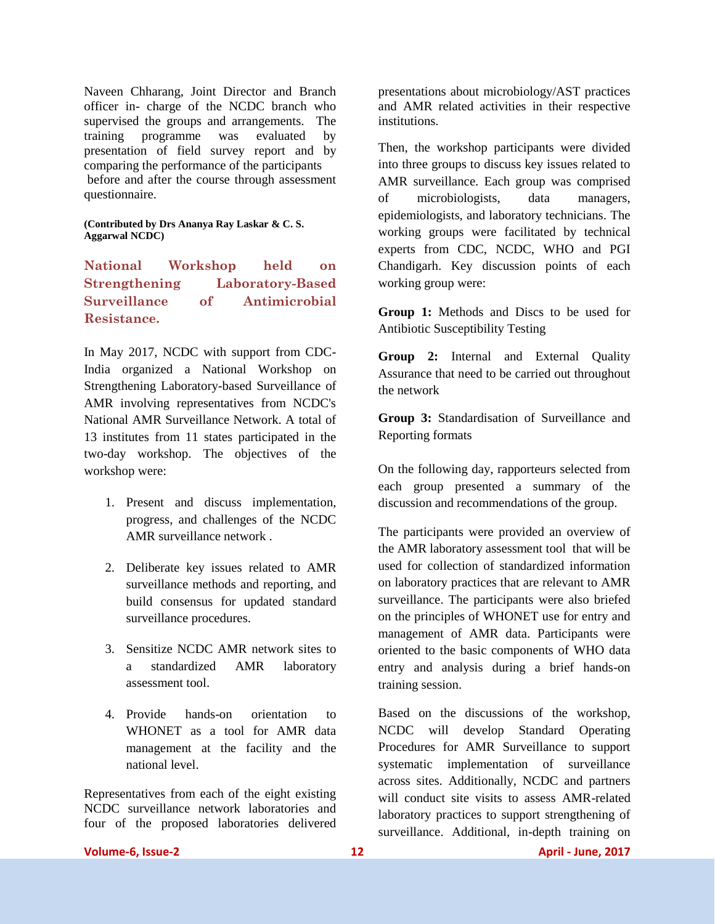Naveen Chharang, Joint Director and Branch officer in- charge of the NCDC branch who supervised the groups and arrangements. The training programme was evaluated by presentation of field survey report and by comparing the performance of the participants before and after the course through assessment questionnaire.

#### **(Contributed by Drs Ananya Ray Laskar & C. S. Aggarwal NCDC)**

**National Workshop held on Strengthening Laboratory-Based Surveillance of Antimicrobial Resistance.**

In May 2017, NCDC with support from CDC-India organized a National Workshop on Strengthening Laboratory-based Surveillance of AMR involving representatives from NCDC's National AMR Surveillance Network. A total of 13 institutes from 11 states participated in the two-day workshop. The objectives of the workshop were:

- 1. Present and discuss implementation, progress, and challenges of the NCDC AMR surveillance network .
- 2. Deliberate key issues related to AMR surveillance methods and reporting, and build consensus for updated standard surveillance procedures.
- 3. Sensitize NCDC AMR network sites to a standardized AMR laboratory assessment tool.
- 4. Provide hands-on orientation to WHONET as a tool for AMR data management at the facility and the national level.

Representatives from each of the eight existing NCDC surveillance network laboratories and four of the proposed laboratories delivered

presentations about microbiology/AST practices and AMR related activities in their respective institutions.

Then, the workshop participants were divided into three groups to discuss key issues related to AMR surveillance. Each group was comprised of microbiologists, data managers, epidemiologists, and laboratory technicians. The working groups were facilitated by technical experts from CDC, NCDC, WHO and PGI Chandigarh. Key discussion points of each working group were:

**Group 1:** Methods and Discs to be used for Antibiotic Susceptibility Testing

**Group 2:** Internal and External Quality Assurance that need to be carried out throughout the network

**Group 3:** Standardisation of Surveillance and Reporting formats

On the following day, rapporteurs selected from each group presented a summary of the discussion and recommendations of the group.

The participants were provided an overview of the AMR laboratory assessment tool that will be used for collection of standardized information on laboratory practices that are relevant to AMR surveillance. The participants were also briefed on the principles of WHONET use for entry and management of AMR data. Participants were oriented to the basic components of WHO data entry and analysis during a brief hands-on training session.

Based on the discussions of the workshop, NCDC will develop Standard Operating Procedures for AMR Surveillance to support systematic implementation of surveillance across sites. Additionally, NCDC and partners will conduct site visits to assess AMR-related laboratory practices to support strengthening of surveillance. Additional, in-depth training on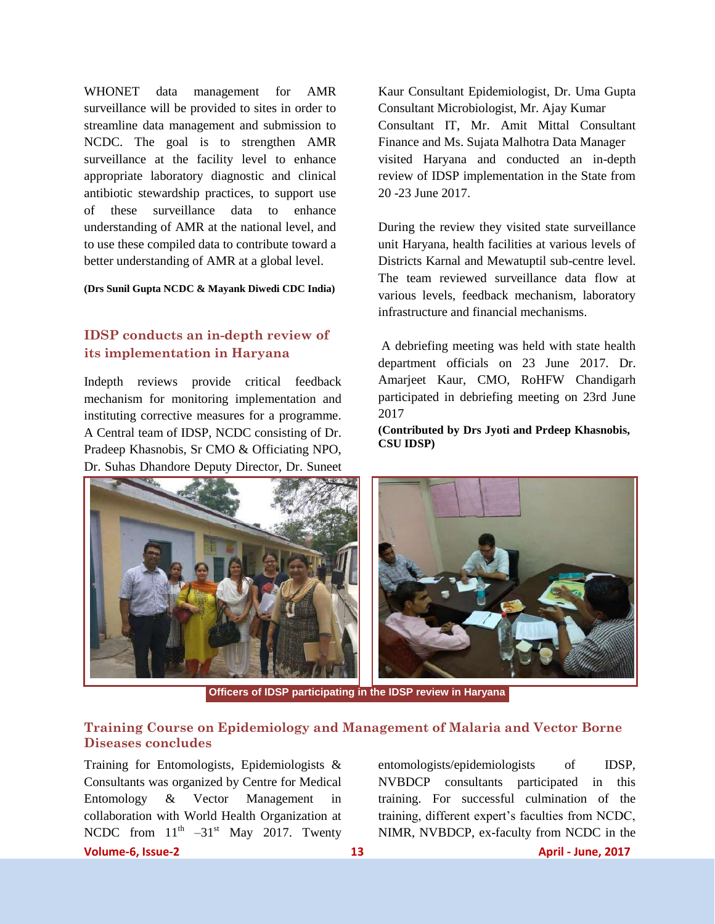WHONET data management for AMR surveillance will be provided to sites in order to streamline data management and submission to NCDC. The goal is to strengthen AMR surveillance at the facility level to enhance appropriate laboratory diagnostic and clinical antibiotic stewardship practices, to support use of these surveillance data to enhance understanding of AMR at the national level, and to use these compiled data to contribute toward a better understanding of AMR at a global level.

#### **(Drs Sunil Gupta NCDC & Mayank Diwedi CDC India)**

## **IDSP conducts an in-depth review of its implementation in Haryana**

Indepth reviews provide critical feedback mechanism for monitoring implementation and instituting corrective measures for a programme. A Central team of IDSP, NCDC consisting of Dr. Pradeep Khasnobis, Sr CMO & Officiating NPO, Dr. Suhas Dhandore Deputy Director, Dr. Suneet Kaur Consultant Epidemiologist, Dr. Uma Gupta Consultant Microbiologist, Mr. Ajay Kumar Consultant IT, Mr. Amit Mittal Consultant Finance and Ms. Sujata Malhotra Data Manager visited Haryana and conducted an in-depth review of IDSP implementation in the State from 20 -23 June 2017.

During the review they visited state surveillance unit Haryana, health facilities at various levels of Districts Karnal and Mewatuptil sub-centre level. The team reviewed surveillance data flow at various levels, feedback mechanism, laboratory infrastructure and financial mechanisms.

A debriefing meeting was held with state health department officials on 23 June 2017. Dr. Amarjeet Kaur, CMO, RoHFW Chandigarh participated in debriefing meeting on 23rd June 2017

**(Contributed by Drs Jyoti and Prdeep Khasnobis, CSU IDSP)**



**Officers of IDSP participating in the IDSP review in Haryana**

### **Training Course on Epidemiology and Management of Malaria and Vector Borne Diseases concludes**

**Volume-6, Issue-2 13 April - June, 2017** Training for Entomologists, Epidemiologists & Consultants was organized by Centre for Medical Entomology & Vector Management in collaboration with World Health Organization at NCDC from  $11<sup>th</sup> -31<sup>st</sup>$  May 2017. Twenty

entomologists/epidemiologists of IDSP, NVBDCP consultants participated in this training. For successful culmination of the training, different expert"s faculties from NCDC, NIMR, NVBDCP, ex-faculty from NCDC in the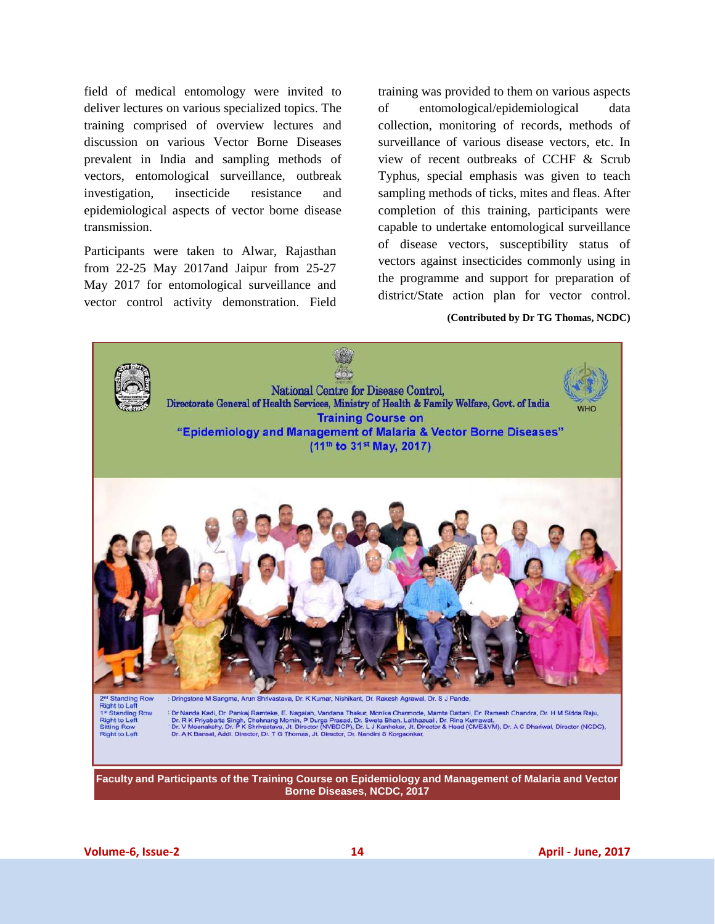field of medical entomology were invited to deliver lectures on various specialized topics. The training comprised of overview lectures and discussion on various Vector Borne Diseases prevalent in India and sampling methods of vectors, entomological surveillance, outbreak investigation, insecticide resistance and epidemiological aspects of vector borne disease transmission.

Participants were taken to Alwar, Rajasthan from 22-25 May 2017and Jaipur from 25-27 May 2017 for entomological surveillance and vector control activity demonstration. Field training was provided to them on various aspects of entomological/epidemiological data collection, monitoring of records, methods of surveillance of various disease vectors, etc. In view of recent outbreaks of CCHF & Scrub Typhus, special emphasis was given to teach sampling methods of ticks, mites and fleas. After completion of this training, participants were capable to undertake entomological surveillance of disease vectors, susceptibility status of vectors against insecticides commonly using in the programme and support for preparation of district/State action plan for vector control.

#### **(Contributed by Dr TG Thomas, NCDC)**

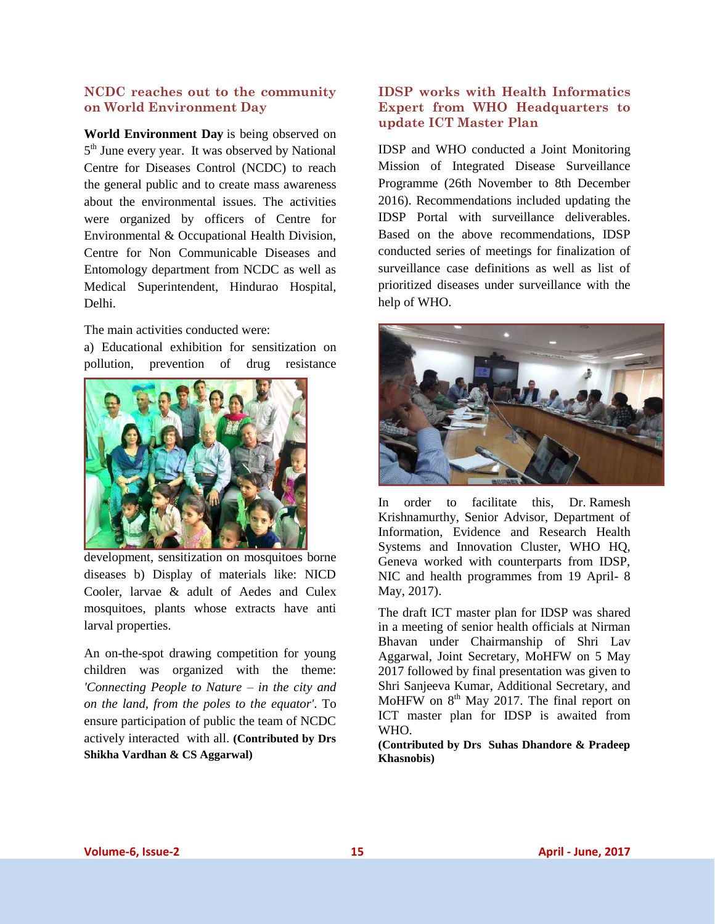#### **NCDC reaches out to the community on World Environment Day**

**World Environment Day** is being observed on 5<sup>th</sup> June every year. It was observed by National Centre for Diseases Control (NCDC) to reach the general public and to create mass awareness about the environmental issues. The activities were organized by officers of Centre for Environmental & Occupational Health Division, Centre for Non Communicable Diseases and Entomology department from NCDC as well as Medical Superintendent, Hindurao Hospital, Delhi.

The main activities conducted were:

a) Educational exhibition for sensitization on pollution, prevention of drug resistance



development, sensitization on mosquitoes borne diseases b) Display of materials like: NICD Cooler, larvae & adult of Aedes and Culex mosquitoes, plants whose extracts have anti larval properties.

An on-the-spot drawing competition for young children was organized with the theme: *'Connecting People to Nature – in the city and on the land, from the poles to the equator'*. To ensure participation of public the team of NCDC actively interacted with all. **(Contributed by Drs Shikha Vardhan & CS Aggarwal)**

### **IDSP works with Health Informatics Expert from WHO Headquarters to update ICT Master Plan**

IDSP and WHO conducted a Joint Monitoring Mission of Integrated Disease Surveillance Programme (26th November to 8th December 2016). Recommendations included updating the IDSP Portal with surveillance deliverables. Based on the above recommendations, IDSP conducted series of meetings for finalization of surveillance case definitions as well as list of prioritized diseases under surveillance with the help of WHO.



In order to facilitate this, Dr. Ramesh Krishnamurthy, Senior Advisor, Department of Information, Evidence and Research Health Systems and Innovation Cluster, WHO HQ, Geneva worked with counterparts from IDSP, NIC and health programmes from 19 April- 8 May, 2017).

The draft ICT master plan for IDSP was shared in a meeting of senior health officials at Nirman Bhavan under Chairmanship of Shri Lav Aggarwal, Joint Secretary, MoHFW on 5 May 2017 followed by final presentation was given to Shri Sanjeeva Kumar, Additional Secretary, and MoHFW on  $8<sup>th</sup>$  May 2017. The final report on ICT master plan for IDSP is awaited from WHO.

**(Contributed by Drs Suhas Dhandore & Pradeep Khasnobis)**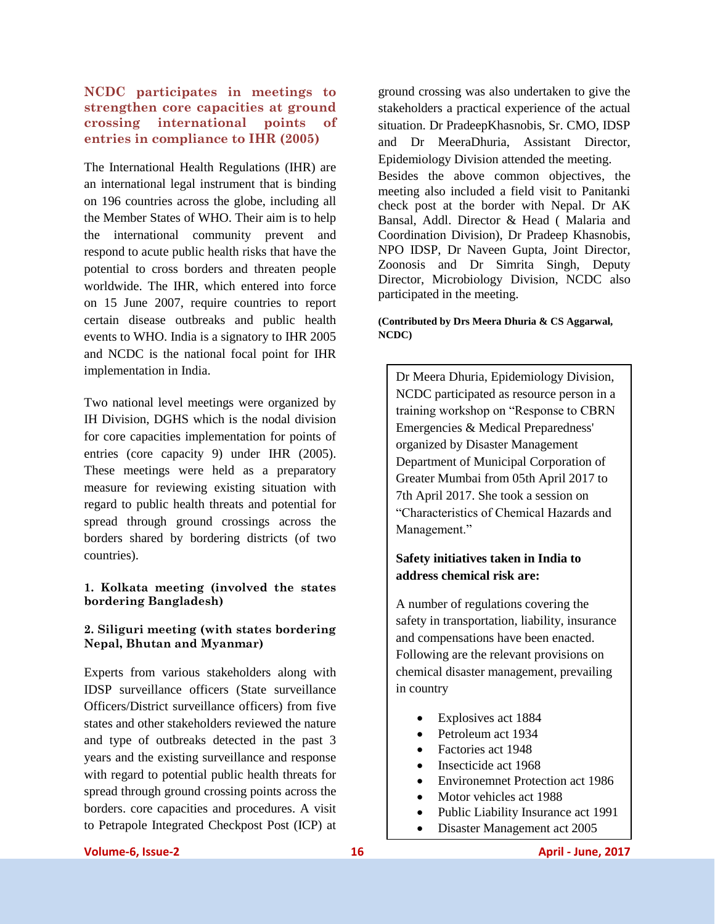### **NCDC participates in meetings to strengthen core capacities at ground crossing international points of entries in compliance to IHR (2005)**

The International Health Regulations (IHR) are an international legal instrument that is binding on 196 countries across the globe, including all the Member States of WHO. Their aim is to help the international community prevent and respond to acute public health risks that have the potential to cross borders and threaten people worldwide. The IHR, which entered into force on 15 June 2007, require countries to report certain disease outbreaks and public health events to WHO. India is a signatory to IHR 2005 and NCDC is the national focal point for IHR implementation in India.

Two national level meetings were organized by IH Division, DGHS which is the nodal division for core capacities implementation for points of entries (core capacity 9) under IHR (2005). These meetings were held as a preparatory measure for reviewing existing situation with regard to public health threats and potential for spread through ground crossings across the borders shared by bordering districts (of two countries).

#### **1. Kolkata meeting (involved the states bordering Bangladesh)**

#### **2. Siliguri meeting (with states bordering Nepal, Bhutan and Myanmar)**

Experts from various stakeholders along with IDSP surveillance officers (State surveillance Officers/District surveillance officers) from five states and other stakeholders reviewed the nature and type of outbreaks detected in the past 3 years and the existing surveillance and response with regard to potential public health threats for spread through ground crossing points across the borders. core capacities and procedures. A visit to Petrapole Integrated Checkpost Post (ICP) at

ground crossing was also undertaken to give the stakeholders a practical experience of the actual situation. Dr PradeepKhasnobis, Sr. CMO, IDSP and Dr MeeraDhuria, Assistant Director, Epidemiology Division attended the meeting. Besides the above common objectives, the meeting also included a field visit to Panitanki check post at the border with Nepal. Dr AK Bansal, Addl. Director & Head ( Malaria and Coordination Division), Dr Pradeep Khasnobis, NPO IDSP, Dr Naveen Gupta, Joint Director, Zoonosis and Dr Simrita Singh, Deputy Director, Microbiology Division, NCDC also participated in the meeting.

#### **(Contributed by Drs Meera Dhuria & CS Aggarwal, NCDC)**

Dr Meera Dhuria, Epidemiology Division, NCDC participated as resource person in a training workshop on "Response to CBRN Emergencies & Medical Preparedness' organized by Disaster Management Department of Municipal Corporation of Greater Mumbai from 05th April 2017 to 7th April 2017. She took a session on "Characteristics of Chemical Hazards and Management."

## **Safety initiatives taken in India to address chemical risk are:**

A number of regulations covering the safety in transportation, liability, insurance and compensations have been enacted. Following are the relevant provisions on chemical disaster management, prevailing in country

- Explosives act 1884
- Petroleum act 1934
- Factories act 1948
- Insecticide act 1968
- Environemnet Protection act 1986
- Motor vehicles act 1988
- Public Liability Insurance act 1991
- Disaster Management act 2005